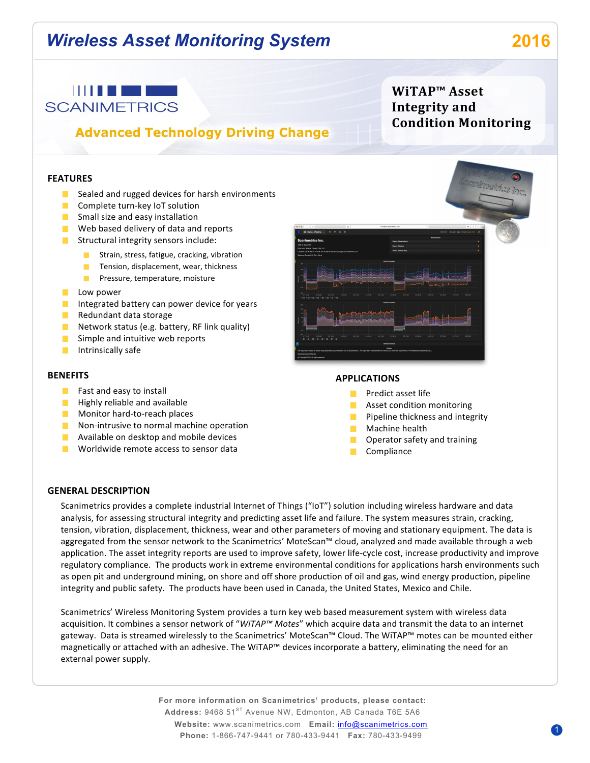# *Wireless Asset Monitoring System* **2016**



# **Advanced Technology Driving Change**

### **FEATURES**

- $\blacksquare$  Sealed and rugged devices for harsh environments
- $\Box$  Complete turn-key IoT solution
- $\blacksquare$  Small size and easy installation
- $\blacksquare$  Web based delivery of data and reports
- Structural integrity sensors include:
	- Strain, stress, fatigue, cracking, vibration
	- $\blacksquare$  Tension, displacement, wear, thickness
	- **Pressure, temperature, moisture**
- **Low** power
- Integrated battery can power device for years
- $\blacksquare$  Redundant data storage
- Network status (e.g. battery, RF link quality)
- $\blacksquare$  Simple and intuitive web reports
- $\blacksquare$  Intrinsically safe

#### **BENEFITS**

- $\blacksquare$  Fast and easy to install
- $\blacksquare$  Highly reliable and available
- Monitor hard-to-reach places
- $\blacksquare$  Non-intrusive to normal machine operation
- **Available on desktop and mobile devices**
- $\blacksquare$  Worldwide remote access to sensor data

**APPLICATIONS**

- **Predict asset life**
- **Asset condition monitoring**
- Pipeline thickness and integrity
- $\blacksquare$  Machine health
- **D** Operator safety and training
- **Compliance**

#### **GENERAL DESCRIPTION**

Scanimetrics provides a complete industrial Internet of Things ("IoT") solution including wireless hardware and data analysis, for assessing structural integrity and predicting asset life and failure. The system measures strain, cracking, tension, vibration, displacement, thickness, wear and other parameters of moving and stationary equipment. The data is aggregated from the sensor network to the Scanimetrics' MoteScan™ cloud, analyzed and made available through a web application. The asset integrity reports are used to improve safety, lower life-cycle cost, increase productivity and improve regulatory compliance. The products work in extreme environmental conditions for applications harsh environments such as open pit and underground mining, on shore and off shore production of oil and gas, wind energy production, pipeline integrity and public safety. The products have been used in Canada, the United States, Mexico and Chile.

Scanimetrics' Wireless Monitoring System provides a turn key web based measurement system with wireless data acquisition. It combines a sensor network of "WiTAP™ Motes" which acquire data and transmit the data to an internet gateway. Data is streamed wirelessly to the Scanimetrics' MoteScan™ Cloud. The WiTAP™ motes can be mounted either magnetically or attached with an adhesive. The WiTAP™ devices incorporate a battery, eliminating the need for an external power supply.

> **For more information on Scanimetrics' products, please contact:** Address: 9468 51<sup>ST</sup> Avenue NW, Edmonton, AB Canada T6E 5A6 **Website:** www.scanimetrics.com **Email:** info@scanimetrics.com **Phone:** 1-866-747-9441 or 780-433-9441 **Fax:** 780-433-9499



**WiTAP™ Asset Integrity** and

**Condition Monitoring**